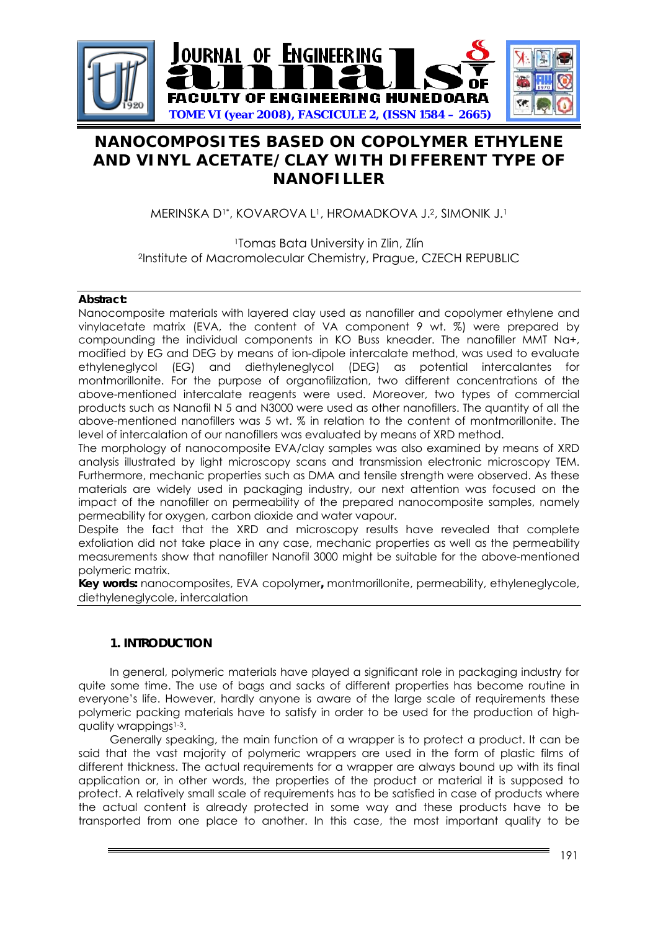

# **NANOCOMPOSITES BASED ON COPOLYMER ETHYLENE AND VINYL ACETATE/CLAY WITH DIFFERENT TYPE OF NANOFILLER**

MERINSKA D1\*, KOVAROVA L1, HROMADKOVA J.2, SIMONIK J.1

1Tomas Bata University in Zlin, Zlín 2Institute of Macromolecular Chemistry, Prague, CZECH REPUBLIC

# **Abstract:**

Nanocomposite materials with layered clay used as nanofiller and copolymer ethylene and vinylacetate matrix (EVA, the content of VA component 9 wt. %) were prepared by compounding the individual components in KO Buss kneader. The nanofiller MMT Na+, modified by EG and DEG by means of ion-dipole intercalate method, was used to evaluate ethyleneglycol (EG) and diethyleneglycol (DEG) as potential intercalantes for montmorillonite. For the purpose of organofilization, two different concentrations of the above-mentioned intercalate reagents were used. Moreover, two types of commercial products such as Nanofil N 5 and N3000 were used as other nanofillers. The quantity of all the above-mentioned nanofillers was 5 wt. % in relation to the content of montmorillonite. The level of intercalation of our nanofillers was evaluated by means of XRD method.

The morphology of nanocomposite EVA/clay samples was also examined by means of XRD analysis illustrated by light microscopy scans and transmission electronic microscopy TEM. Furthermore, mechanic properties such as DMA and tensile strength were observed. As these materials are widely used in packaging industry, our next attention was focused on the impact of the nanofiller on permeability of the prepared nanocomposite samples, namely permeability for oxygen, carbon dioxide and water vapour.

Despite the fact that the XRD and microscopy results have revealed that complete exfoliation did not take place in any case, mechanic properties as well as the permeability measurements show that nanofiller Nanofil 3000 might be suitable for the above-mentioned polymeric matrix.

**Key words:** nanocomposites, EVA copolymer**,** montmorillonite, permeability, ethyleneglycole, diethyleneglycole, intercalation

# **1. INTRODUCTION**

In general, polymeric materials have played a significant role in packaging industry for quite some time. The use of bags and sacks of different properties has become routine in everyone's life. However, hardly anyone is aware of the large scale of requirements these polymeric packing materials have to satisfy in order to be used for the production of highquality wrappings<sup>1-3</sup>.

Generally speaking, the main function of a wrapper is to protect a product. It can be said that the vast majority of polymeric wrappers are used in the form of plastic films of different thickness. The actual requirements for a wrapper are always bound up with its final application or, in other words, the properties of the product or material it is supposed to protect. A relatively small scale of requirements has to be satisfied in case of products where the actual content is already protected in some way and these products have to be transported from one place to another. In this case, the most important quality to be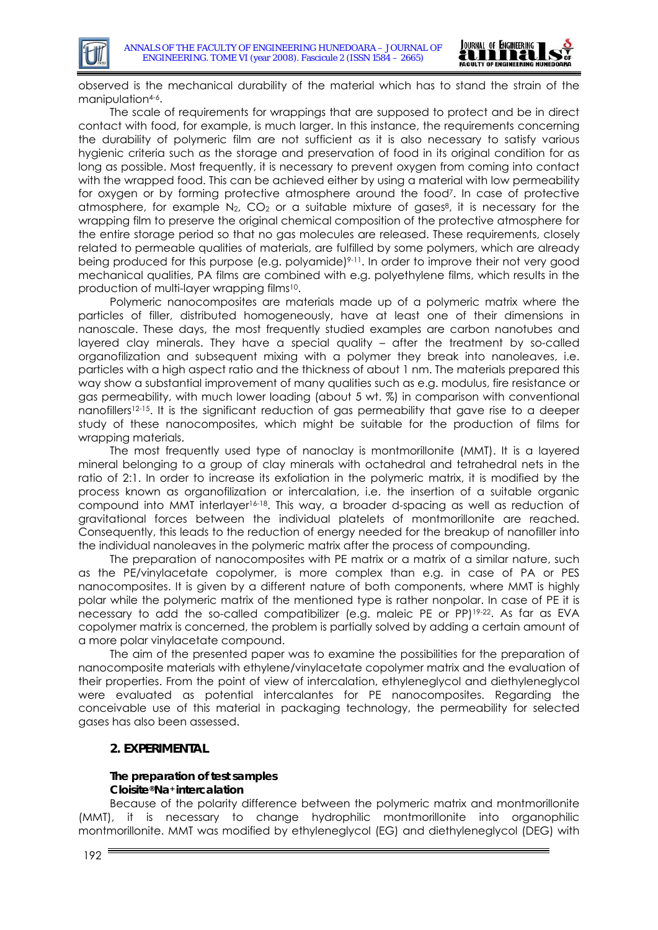

observed is the mechanical durability of the material which has to stand the strain of the manipulation<sup>4-6</sup>.

The scale of requirements for wrappings that are supposed to protect and be in direct contact with food, for example, is much larger. In this instance, the requirements concerning the durability of polymeric film are not sufficient as it is also necessary to satisfy various hygienic criteria such as the storage and preservation of food in its original condition for as long as possible. Most frequently, it is necessary to prevent oxygen from coming into contact with the wrapped food. This can be achieved either by using a material with low permeability for oxygen or by forming protective atmosphere around the food7. In case of protective atmosphere, for example  $N_2$ , CO<sub>2</sub> or a suitable mixture of gases<sup>8</sup>, it is necessary for the wrapping film to preserve the original chemical composition of the protective atmosphere for the entire storage period so that no gas molecules are released. These requirements, closely related to permeable qualities of materials, are fulfilled by some polymers, which are already being produced for this purpose (e.g. polyamide)<sup>9-11</sup>. In order to improve their not very good mechanical qualities, PA films are combined with e.g. polyethylene films, which results in the production of multi-layer wrapping films10.

Polymeric nanocomposites are materials made up of a polymeric matrix where the particles of filler, distributed homogeneously, have at least one of their dimensions in nanoscale. These days, the most frequently studied examples are carbon nanotubes and layered clay minerals. They have a special quality – after the treatment by so-called organofilization and subsequent mixing with a polymer they break into nanoleaves, i.e. particles with a high aspect ratio and the thickness of about 1 nm. The materials prepared this way show a substantial improvement of many qualities such as e.g. modulus, fire resistance or gas permeability, with much lower loading (about 5 wt. %) in comparison with conventional nanofillers12-15. It is the significant reduction of gas permeability that gave rise to a deeper study of these nanocomposites, which might be suitable for the production of films for wrapping materials.

The most frequently used type of nanoclay is montmorillonite (MMT). It is a layered mineral belonging to a group of clay minerals with octahedral and tetrahedral nets in the ratio of 2:1. In order to increase its exfoliation in the polymeric matrix, it is modified by the process known as organofilization or intercalation, i.e. the insertion of a suitable organic compound into MMT interlayer16-18. This way, a broader d-spacing as well as reduction of gravitational forces between the individual platelets of montmorillonite are reached. Consequently, this leads to the reduction of energy needed for the breakup of nanofiller into the individual nanoleaves in the polymeric matrix after the process of compounding.

The preparation of nanocomposites with PE matrix or a matrix of a similar nature, such as the PE/vinylacetate copolymer, is more complex than e.g. in case of PA or PES nanocomposites. It is given by a different nature of both components, where MMT is highly polar while the polymeric matrix of the mentioned type is rather nonpolar. In case of PE it is necessary to add the so-called compatibilizer (e.g. maleic PE or PP)<sup>19-22</sup>. As far as EVA copolymer matrix is concerned, the problem is partially solved by adding a certain amount of a more polar vinylacetate compound.

The aim of the presented paper was to examine the possibilities for the preparation of nanocomposite materials with ethylene/vinylacetate copolymer matrix and the evaluation of their properties. From the point of view of intercalation, ethyleneglycol and diethyleneglycol were evaluated as potential intercalantes for PE nanocomposites. Regarding the conceivable use of this material in packaging technology, the permeability for selected gases has also been assessed.

### **2. EXPERIMENTAL**

### **The preparation of test samples Cloisite®Na+ intercalation**

Because of the polarity difference between the polymeric matrix and montmorillonite (MMT), it is necessary to change hydrophilic montmorillonite into organophilic montmorillonite. MMT was modified by ethyleneglycol (EG) and diethyleneglycol (DEG) with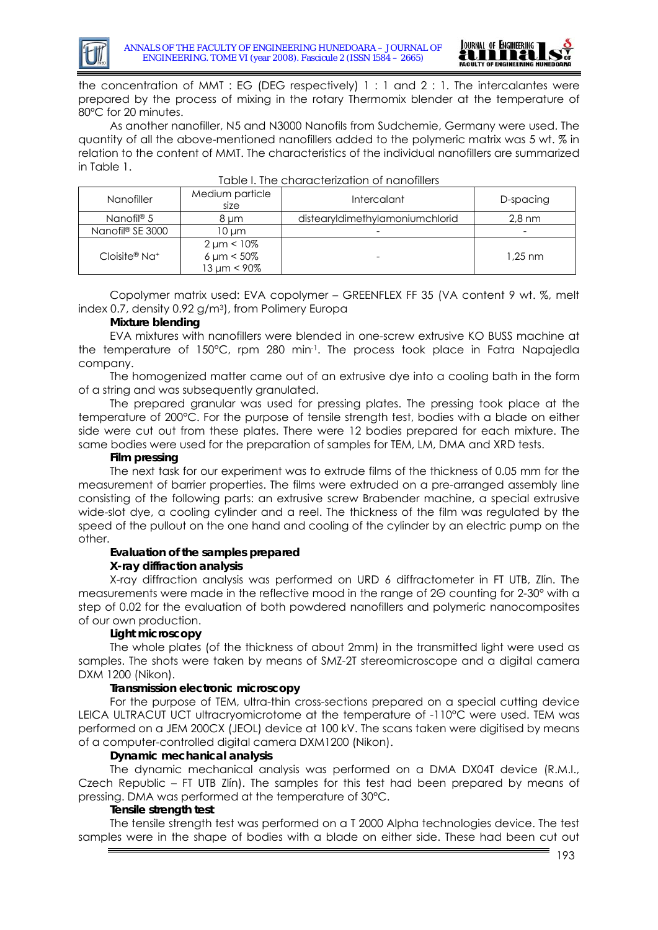

the concentration of MMT : EG (DEG respectively) 1 : 1 and 2 : 1. The intercalantes were prepared by the process of mixing in the rotary Thermomix blender at the temperature of 80ºC for 20 minutes.

As another nanofiller, N5 and N3000 Nanofils from Sudchemie, Germany were used. The quantity of all the above-mentioned nanofillers added to the polymeric matrix was 5 wt. % in relation to the content of MMT. The characteristics of the individual nanofillers are summarized in Table 1.

| <b>Nanofiller</b>            | Medium particle<br>size                                   | Intercalant                     | D-spacing        |
|------------------------------|-----------------------------------------------------------|---------------------------------|------------------|
| Nanofil <sup>®</sup> 5       | 8 um                                                      | distearyIdimethyIamoniumchlorid | $2.8 \text{ nm}$ |
| Nanofil <sup>®</sup> SE 3000 | 10 um                                                     |                                 |                  |
| $Cloisite@Na+$               | $2 \mu m < 10\%$<br>$6 \mu m < 50\%$<br>$13 \mu m < 90\%$ |                                 | $1.25$ nm        |

|  |  | Table I. The characterization of nanofillers |  |
|--|--|----------------------------------------------|--|
|--|--|----------------------------------------------|--|

Copolymer matrix used: EVA copolymer – GREENFLEX FF 35 (VA content 9 wt. %, melt index 0.7, density 0.92 g/m3), from Polimery Europa

# **Mixture blending**

EVA mixtures with nanofillers were blended in one-screw extrusive KO BUSS machine at the temperature of 150°C, rpm 280 min-1. The process took place in Fatra Napajedla company.

The homogenized matter came out of an extrusive dye into a cooling bath in the form of a string and was subsequently granulated.

The prepared granular was used for pressing plates. The pressing took place at the temperature of 200°C. For the purpose of tensile strength test, bodies with a blade on either side were cut out from these plates. There were 12 bodies prepared for each mixture. The same bodies were used for the preparation of samples for TEM, LM, DMA and XRD tests.

### **Film pressing**

The next task for our experiment was to extrude films of the thickness of 0.05 mm for the measurement of barrier properties. The films were extruded on a pre-arranged assembly line consisting of the following parts: an extrusive screw Brabender machine, a special extrusive wide-slot dye, a cooling cylinder and a reel. The thickness of the film was regulated by the speed of the pullout on the one hand and cooling of the cylinder by an electric pump on the other.

### **Evaluation of the samples prepared**

### **X-ray diffraction analysis**

X-ray diffraction analysis was performed on URD 6 diffractometer in FT UTB, Zlín. The measurements were made in the reflective mood in the range of 2Θ counting for 2-30° with a step of 0.02 for the evaluation of both powdered nanofillers and polymeric nanocomposites of our own production.

# **Light microscopy**

The whole plates (of the thickness of about 2mm) in the transmitted light were used as samples. The shots were taken by means of SMZ-2T stereomicroscope and a digital camera DXM 1200 (Nikon).

### **Transmission electronic microscopy**

For the purpose of TEM, ultra-thin cross-sections prepared on a special cutting device LEICA ULTRACUT UCT ultracryomicrotome at the temperature of -110°C were used. TEM was performed on a JEM 200CX (JEOL) device at 100 kV. The scans taken were digitised by means of a computer-controlled digital camera DXM1200 (Nikon).

### **Dynamic mechanical analysis**

The dynamic mechanical analysis was performed on a DMA DX04T device (R.M.I., Czech Republic – FT UTB Zlín). The samples for this test had been prepared by means of pressing. DMA was performed at the temperature of 30°C.

### **Tensile strength test**

The tensile strength test was performed on a T 2000 Alpha technologies device. The test samples were in the shape of bodies with a blade on either side. These had been cut out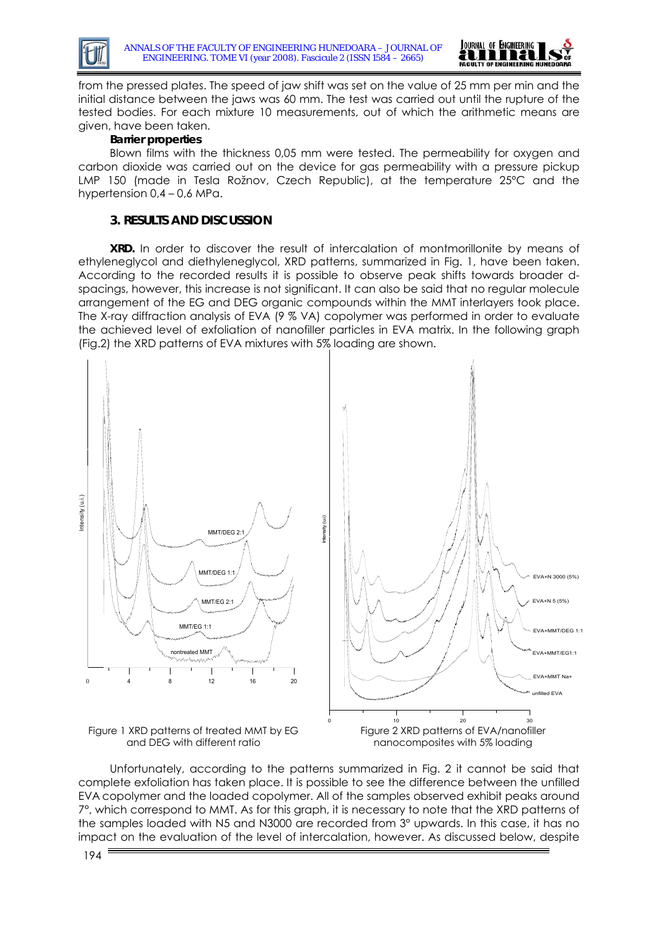



from the pressed plates. The speed of jaw shift was set on the value of 25 mm per min and the initial distance between the jaws was 60 mm. The test was carried out until the rupture of the tested bodies. For each mixture 10 measurements, out of which the arithmetic means are given, have been taken.

# **Barrier properties**

Blown films with the thickness 0,05 mm were tested. The permeability for oxygen and carbon dioxide was carried out on the device for gas permeability with a pressure pickup LMP 150 (made in Tesla Rožnov, Czech Republic), at the temperature 25°C and the hypertension 0,4 – 0,6 MPa.

# **3. RESULTS AND DISCUSSION**

**XRD.** In order to discover the result of intercalation of montmorillonite by means of ethyleneglycol and diethyleneglycol, XRD patterns, summarized in Fig. 1, have been taken. According to the recorded results it is possible to observe peak shifts towards broader dspacings, however, this increase is not significant. It can also be said that no regular molecule arrangement of the EG and DEG organic compounds within the MMT interlayers took place. The X-ray diffraction analysis of EVA (9 % VA) copolymer was performed in order to evaluate the achieved level of exfoliation of nanofiller particles in EVA matrix. In the following graph (Fig.2) the XRD patterns of EVA mixtures with 5% loading are shown.



Unfortunately, according to the patterns summarized in Fig. 2 it cannot be said that complete exfoliation has taken place. It is possible to see the difference between the unfilled EVA copolymer and the loaded copolymer. All of the samples observed exhibit peaks around 7°, which correspond to MMT. As for this graph, it is necessary to note that the XRD patterns of the samples loaded with N5 and N3000 are recorded from 3° upwards. In this case, it has no impact on the evaluation of the level of intercalation, however. As discussed below, despite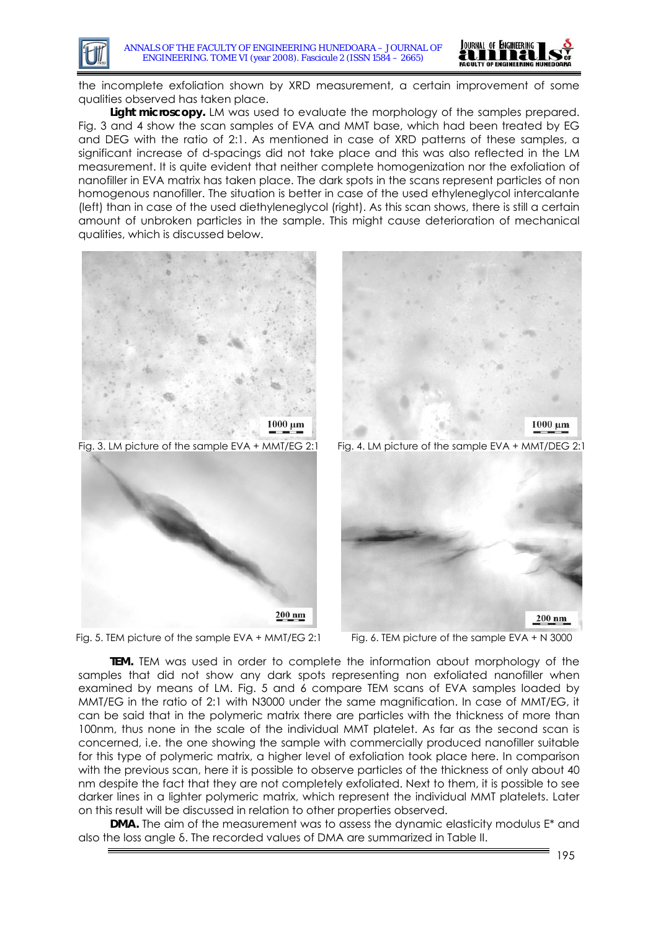

the incomplete exfoliation shown by XRD measurement, a certain improvement of some qualities observed has taken place.

**Light microscopy.** LM was used to evaluate the morphology of the samples prepared. Fig. 3 and 4 show the scan samples of EVA and MMT base, which had been treated by EG and DEG with the ratio of 2:1. As mentioned in case of XRD patterns of these samples, a significant increase of d-spacings did not take place and this was also reflected in the LM measurement. It is quite evident that neither complete homogenization nor the exfoliation of nanofiller in EVA matrix has taken place. The dark spots in the scans represent particles of non homogenous nanofiller. The situation is better in case of the used ethyleneglycol intercalante (left) than in case of the used diethyleneglycol (right). As this scan shows, there is still a certain amount of unbroken particles in the sample. This might cause deterioration of mechanical qualities, which is discussed below.



**TEM.** TEM was used in order to complete the information about morphology of the samples that did not show any dark spots representing non exfoliated nanofiller when examined by means of LM. Fig. 5 and 6 compare TEM scans of EVA samples loaded by MMT/EG in the ratio of 2:1 with N3000 under the same magnification. In case of MMT/EG, it can be said that in the polymeric matrix there are particles with the thickness of more than 100nm, thus none in the scale of the individual MMT platelet. As far as the second scan is concerned, i.e. the one showing the sample with commercially produced nanofiller suitable for this type of polymeric matrix, a higher level of exfoliation took place here. In comparison with the previous scan, here it is possible to observe particles of the thickness of only about 40 nm despite the fact that they are not completely exfoliated. Next to them, it is possible to see darker lines in a lighter polymeric matrix, which represent the individual MMT platelets. Later on this result will be discussed in relation to other properties observed.

**DMA.** The aim of the measurement was to assess the dynamic elasticity modulus E<sup>\*</sup> and also the loss angle δ. The recorded values of DMA are summarized in Table II.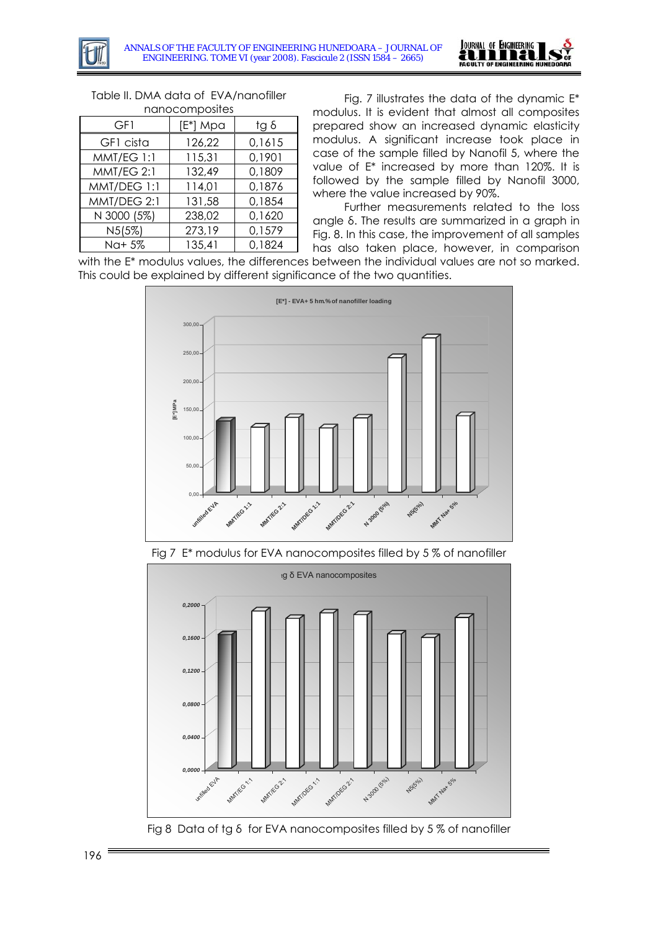

| nanocomposites |          |        |  |  |  |
|----------------|----------|--------|--|--|--|
| GF1            | [E*] Mpa | tg δ   |  |  |  |
| GF1 cista      | 126,22   | 0,1615 |  |  |  |
| MMT/EG 1:1     | 115,31   | 0,1901 |  |  |  |
| MMT/EG 2:1     | 132,49   | 0,1809 |  |  |  |
| MMT/DEG 1:1    | 114,01   | 0,1876 |  |  |  |
| MMT/DEG 2:1    | 131,58   | 0,1854 |  |  |  |
| N 3000 (5%)    | 238,02   | 0,1620 |  |  |  |
| N5(5%)         | 273,19   | 0,1579 |  |  |  |
| Na+ 5%         | 135,41   | 0,1824 |  |  |  |

Table II. DMA data of EVA/nanofiller

Fig. 7 illustrates the data of the dynamic  $E^*$ modulus. It is evident that almost all composites prepared show an increased dynamic elasticity modulus. A significant increase took place in case of the sample filled by Nanofil 5, where the value of E\* increased by more than 120%. It is followed by the sample filled by Nanofil 3000, where the value increased by 90%.

Further measurements related to the loss angle δ. The results are summarized in a graph in Fig. 8. In this case, the improvement of all samples has also taken place, however, in comparison

with the E\* modulus values, the differences between the individual values are not so marked. This could be explained by different significance of the two quantities.



Fig 7 E\* modulus for EVA nanocomposites filled by 5 % of nanofiller



Fig 8 Data of tg δ for EVA nanocomposites filled by 5 % of nanofiller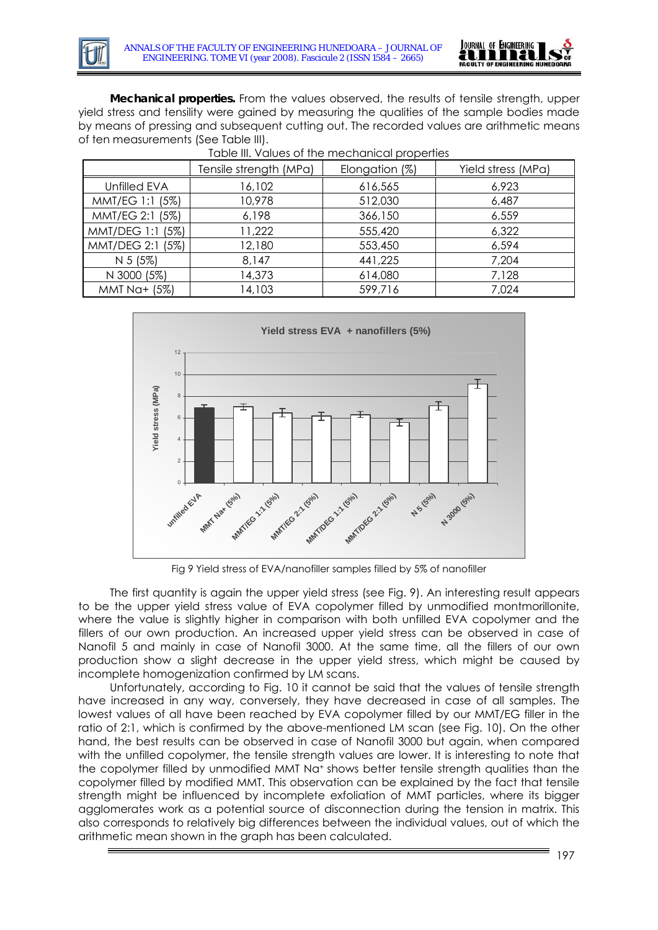

**Mechanical properties.** From the values observed, the results of tensile strength, upper yield stress and tensility were gained by measuring the qualities of the sample bodies made by means of pressing and subsequent cutting out. The recorded values are arithmetic means of ten measurements (See Table III).

|                  | Table III. Values of the mechanical properties |                |                    |
|------------------|------------------------------------------------|----------------|--------------------|
|                  | Tensile strength (MPa)                         | Elongation (%) | Yield stress (MPa) |
| Unfilled EVA     | 16,102                                         | 616,565        | 6,923              |
| MMT/EG 1:1 (5%)  | 10,978                                         | 512,030        | 6,487              |
| MMT/EG 2:1 (5%)  | 6,198                                          | 366,150        | 6,559              |
| MMT/DEG 1:1 (5%) | 11,222                                         | 555,420        | 6,322              |
| MMT/DEG 2:1 (5%) | 12,180                                         | 553,450        | 6,594              |
| N 5 (5%)         | 8,147                                          | 441,225        | 7,204              |
| N 3000 (5%)      | 14,373                                         | 614,080        | 7,128              |
| MMT Na+ (5%)     | 14,103                                         | 599,716        | 7,024              |



Fig 9 Yield stress of EVA/nanofiller samples filled by 5% of nanofiller

The first quantity is again the upper yield stress (see Fig. 9). An interesting result appears to be the upper yield stress value of EVA copolymer filled by unmodified montmorillonite, where the value is slightly higher in comparison with both unfilled EVA copolymer and the fillers of our own production. An increased upper yield stress can be observed in case of Nanofil 5 and mainly in case of Nanofil 3000. At the same time, all the fillers of our own production show a slight decrease in the upper yield stress, which might be caused by incomplete homogenization confirmed by LM scans.

Unfortunately, according to Fig. 10 it cannot be said that the values of tensile strength have increased in any way, conversely, they have decreased in case of all samples. The lowest values of all have been reached by EVA copolymer filled by our MMT/EG filler in the ratio of 2:1, which is confirmed by the above-mentioned LM scan (see Fig. 10). On the other hand, the best results can be observed in case of Nanofil 3000 but again, when compared with the unfilled copolymer, the tensile strength values are lower. It is interesting to note that the copolymer filled by unmodified MMT Na<sup>+</sup> shows better tensile strength qualities than the copolymer filled by modified MMT. This observation can be explained by the fact that tensile strength might be influenced by incomplete exfoliation of MMT particles, where its bigger agglomerates work as a potential source of disconnection during the tension in matrix. This also corresponds to relatively big differences between the individual values, out of which the arithmetic mean shown in the graph has been calculated.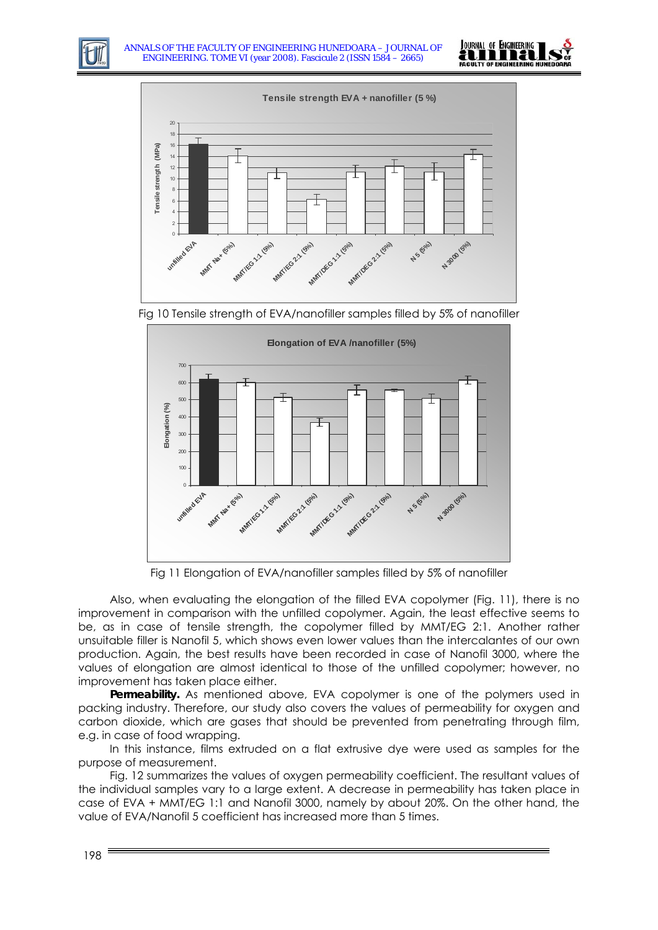





Fig 10 Tensile strength of EVA/nanofiller samples filled by 5% of nanofiller



Fig 11 Elongation of EVA/nanofiller samples filled by 5% of nanofiller

Also, when evaluating the elongation of the filled EVA copolymer (Fig. 11), there is no improvement in comparison with the unfilled copolymer. Again, the least effective seems to be, as in case of tensile strength, the copolymer filled by MMT/EG 2:1. Another rather unsuitable filler is Nanofil 5, which shows even lower values than the intercalantes of our own production. Again, the best results have been recorded in case of Nanofil 3000, where the values of elongation are almost identical to those of the unfilled copolymer; however, no improvement has taken place either.

**Permeability.** As mentioned above, EVA copolymer is one of the polymers used in packing industry. Therefore, our study also covers the values of permeability for oxygen and carbon dioxide, which are gases that should be prevented from penetrating through film, e.g. in case of food wrapping.

In this instance, films extruded on a flat extrusive dye were used as samples for the purpose of measurement.

Fig. 12 summarizes the values of oxygen permeability coefficient. The resultant values of the individual samples vary to a large extent. A decrease in permeability has taken place in case of EVA + MMT/EG 1:1 and Nanofil 3000, namely by about 20%. On the other hand, the value of EVA/Nanofil 5 coefficient has increased more than 5 times.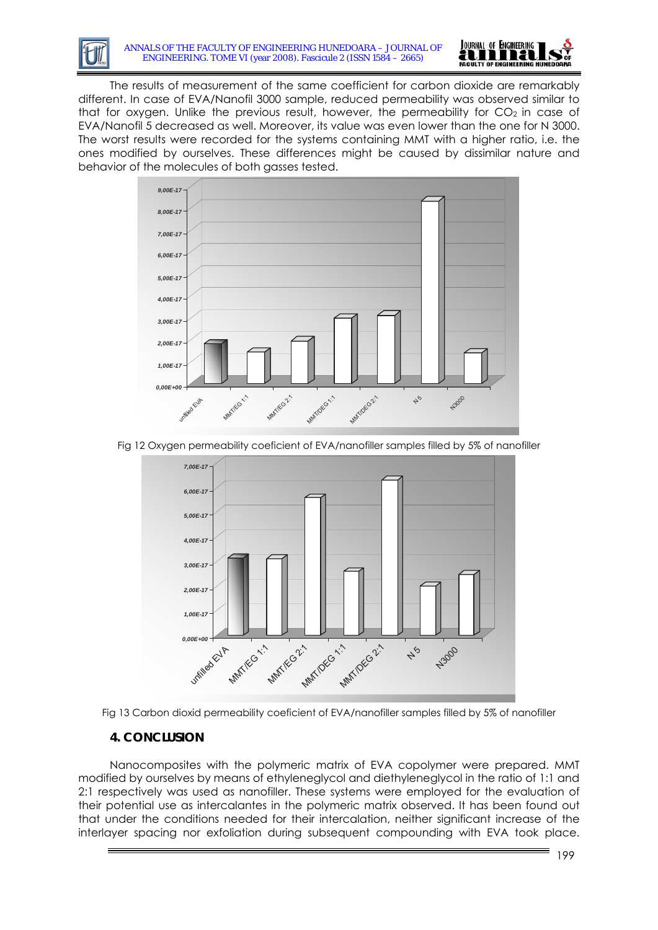



The results of measurement of the same coefficient for carbon dioxide are remarkably different. In case of EVA/Nanofil 3000 sample, reduced permeability was observed similar to that for oxygen. Unlike the previous result, however, the permeability for  $CO<sub>2</sub>$  in case of EVA/Nanofil 5 decreased as well. Moreover, its value was even lower than the one for N 3000. The worst results were recorded for the systems containing MMT with a higher ratio, i.e. the ones modified by ourselves. These differences might be caused by dissimilar nature and behavior of the molecules of both gasses tested.



Fig 12 Oxygen permeability coeficient of EVA/nanofiller samples filled by 5% of nanofiller





# **4. CONCLUSION**

Nanocomposites with the polymeric matrix of EVA copolymer were prepared. MMT modified by ourselves by means of ethyleneglycol and diethyleneglycol in the ratio of 1:1 and 2:1 respectively was used as nanofiller. These systems were employed for the evaluation of their potential use as intercalantes in the polymeric matrix observed. It has been found out that under the conditions needed for their intercalation, neither significant increase of the interlayer spacing nor exfoliation during subsequent compounding with EVA took place.